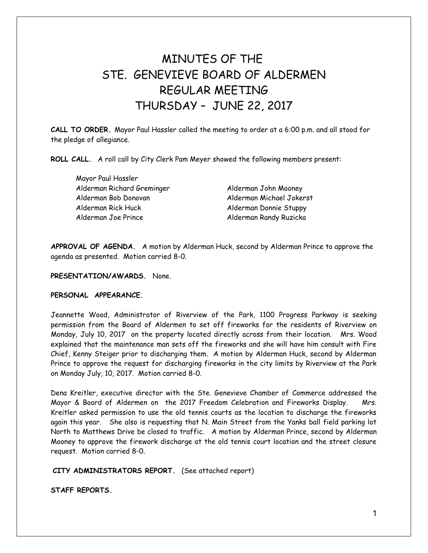# MINUTES OF THE STE. GENEVIEVE BOARD OF ALDERMEN REGULAR MEETING THURSDAY – JUNE 22, 2017

**CALL TO ORDER.** Mayor Paul Hassler called the meeting to order at a 6:00 p.m. and all stood for the pledge of allegiance.

**ROLL CALL.** A roll call by City Clerk Pam Meyer showed the following members present:

Mayor Paul Hassler Alderman Richard Greminger Alderman John Mooney Alderman Bob Donovan Alderman Michael Jokerst Alderman Rick Huck Alderman Donnie Stuppy Alderman Joe Prince **Alderman Randy Ruzicka** 

**APPROVAL OF AGENDA.** A motion by Alderman Huck, second by Alderman Prince to approve the agenda as presented. Motion carried 8-0.

## **PRESENTATION/AWARDS.** None.

#### **PERSONAL APPEARANCE.**

Jeannette Wood, Administrator of Riverview of the Park, 1100 Progress Parkway is seeking permission from the Board of Aldermen to set off fireworks for the residents of Riverview on Monday, July 10, 2017 on the property located directly across from their location. Mrs. Wood explained that the maintenance man sets off the fireworks and she will have him consult with Fire Chief, Kenny Steiger prior to discharging them. A motion by Alderman Huck, second by Alderman Prince to approve the request for discharging fireworks in the city limits by Riverview at the Park on Monday July, 10, 2017. Motion carried 8-0.

Dena Kreitler, executive director with the Ste. Genevieve Chamber of Commerce addressed the Mayor & Board of Aldermen on the 2017 Freedom Celebration and Fireworks Display. Mrs. Kreitler asked permission to use the old tennis courts as the location to discharge the fireworks again this year. She also is requesting that N. Main Street from the Yanks ball field parking lot North to Matthews Drive be closed to traffic. A motion by Alderman Prince, second by Alderman Mooney to approve the firework discharge at the old tennis court location and the street closure request. Motion carried 8-0.

**CITY ADMINISTRATORS REPORT.** (See attached report)

**STAFF REPORTS.**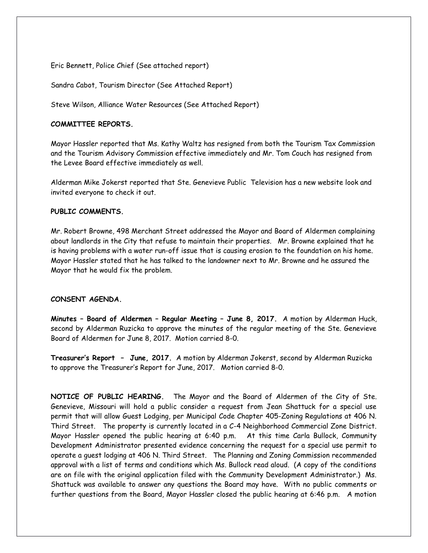Eric Bennett, Police Chief (See attached report)

Sandra Cabot, Tourism Director (See Attached Report)

Steve Wilson, Alliance Water Resources (See Attached Report)

### **COMMITTEE REPORTS.**

Mayor Hassler reported that Ms. Kathy Waltz has resigned from both the Tourism Tax Commission and the Tourism Advisory Commission effective immediately and Mr. Tom Couch has resigned from the Levee Board effective immediately as well.

Alderman Mike Jokerst reported that Ste. Genevieve Public Television has a new website look and invited everyone to check it out.

## **PUBLIC COMMENTS.**

Mr. Robert Browne, 498 Merchant Street addressed the Mayor and Board of Aldermen complaining about landlords in the City that refuse to maintain their properties. Mr. Browne explained that he is having problems with a water run-off issue that is causing erosion to the foundation on his home. Mayor Hassler stated that he has talked to the landowner next to Mr. Browne and he assured the Mayor that he would fix the problem.

## **CONSENT AGENDA.**

**Minutes – Board of Aldermen – Regular Meeting – June 8, 2017.** A motion by Alderman Huck, second by Alderman Ruzicka to approve the minutes of the regular meeting of the Ste. Genevieve Board of Aldermen for June 8, 2017. Motion carried 8-0.

**Treasurer's Report – June, 2017.** A motion by Alderman Jokerst, second by Alderman Ruzicka to approve the Treasurer's Report for June, 2017. Motion carried 8-0.

**NOTICE OF PUBLIC HEARING.** The Mayor and the Board of Aldermen of the City of Ste. Genevieve, Missouri will hold a public consider a request from Jean Shattuck for a special use permit that will allow Guest Lodging, per Municipal Code Chapter 405-Zoning Regulations at 406 N. Third Street. The property is currently located in a C-4 Neighborhood Commercial Zone District. Mayor Hassler opened the public hearing at 6:40 p.m. At this time Carla Bullock, Community Development Administrator presented evidence concerning the request for a special use permit to operate a guest lodging at 406 N. Third Street. The Planning and Zoning Commission recommended approval with a list of terms and conditions which Ms. Bullock read aloud. (A copy of the conditions are on file with the original application filed with the Community Development Administrator.) Ms. Shattuck was available to answer any questions the Board may have. With no public comments or further questions from the Board, Mayor Hassler closed the public hearing at 6:46 p.m. A motion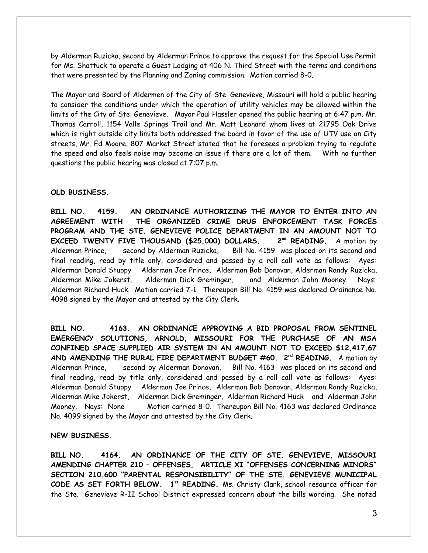by Alderman Ruzicka, second by Alderman Prince to approve the request for the Special Use Permit for Ms. Shattuck to operate a Guest Lodging at 406 N. Third Street with the terms and conditions that were presented by the Planning and Zoning commission. Motion carried 8-0.

The Mayor and Board of Aldermen of the City of Ste. Genevieve, Missouri will hold a public hearing to consider the conditions under which the operation of utility vehicles may be allowed within the limits of the City of Ste. Genevieve. Mayor Paul Hassler opened the public hearing at 6:47 p.m. Mr. Thomas Carroll, 1154 Valle Springs Trail and Mr. Matt Leonard whom lives at 21795 Oak Drive which is right outside city limits both addressed the board in favor of the use of UTV use on City streets, Mr. Ed Moore, 807 Market Street stated that he foresees a problem trying to regulate the speed and also feels noise may become an issue if there are a lot of them. With no further questions the public hearing was closed at 7:07 p.m.

## **OLD BUSINESS.**

**BILL NO. 4159. AN ORDINANCE AUTHORIZING THE MAYOR TO ENTER INTO AN AGREEMENT WITH THE ORGANIZED CRIME DRUG ENFORCEMENT TASK FORCES PROGRAM AND THE STE. GENEVIEVE POLICE DEPARTMENT IN AN AMOUNT NOT TO EXCEED TWENTY FIVE THOUSAND (\$25,000) DOLLARS. 2nd READING.** A motion by Alderman Prince, second by Alderman Ruzicka, Bill No. 4159 was placed on its second and final reading, read by title only, considered and passed by a roll call vote as follows: Ayes: Alderman Donald Stuppy Alderman Joe Prince, Alderman Bob Donovan, Alderman Randy Ruzicka, Alderman Mike Jokerst, Alderman Dick Greminger, and Alderman John Mooney. Nays: Alderman Richard Huck. Motion carried 7-1. Thereupon Bill No. 4159 was declared Ordinance No. 4098 signed by the Mayor and attested by the City Clerk.

**BILL NO. 4163. AN ORDINANCE APPROVING A BID PROPOSAL FROM SENTINEL EMERGENCY SOLUTIONS, ARNOLD, MISSOURI FOR THE PURCHASE OF AN MSA CONFINED SPACE SUPPLIED AIR SYSTEM IN AN AMOUNT NOT TO EXCEED \$12,417.67 AND AMENDING THE RURAL FIRE DEPARTMENT BUDGET #60. 2nd READING.** A motion by Alderman Prince, second by Alderman Donovan, Bill No. 4163 was placed on its second and final reading, read by title only, considered and passed by a roll call vote as follows: Ayes: Alderman Donald Stuppy Alderman Joe Prince, Alderman Bob Donovan, Alderman Randy Ruzicka, Alderman Mike Jokerst, Alderman Dick Greminger, Alderman Richard Huck and Alderman John Mooney. Nays: None Motion carried 8-0. Thereupon Bill No. 4163 was declared Ordinance No. 4099 signed by the Mayor and attested by the City Clerk.

#### **NEW BUSINESS.**

**BILL NO. 4164. AN ORDINANCE OF THE CITY OF STE. GENEVIEVE, MISSOURI AMENDING CHAPTER 210 – OFFENSES, ARTICLE XI "OFFENSES CONCERNING MINORS" SECTION 210.600 "PARENTAL RESPONSIBILITY" OF THE STE. GENEVIEVE MUNICIPAL CODE AS SET FORTH BELOW. 1st READING.** Ms. Christy Clark, school resource officer for the Ste. Genevieve R-II School District expressed concern about the bills wording. She noted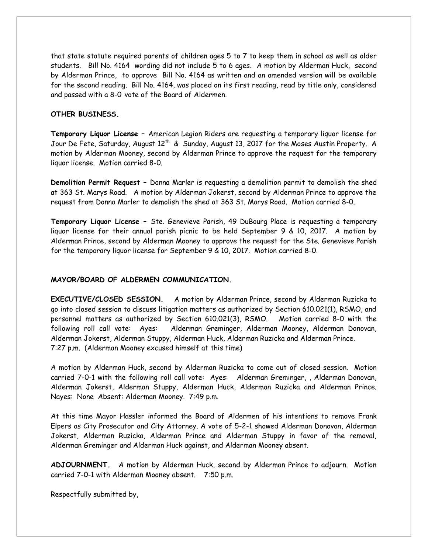that state statute required parents of children ages 5 to 7 to keep them in school as well as older students. Bill No. 4164 wording did not include 5 to 6 ages. A motion by Alderman Huck, second by Alderman Prince, to approve Bill No. 4164 as written and an amended version will be available for the second reading. Bill No. 4164, was placed on its first reading, read by title only, considered and passed with a 8-0 vote of the Board of Aldermen.

#### **OTHER BUSINESS.**

**Temporary Liquor License –** American Legion Riders are requesting a temporary liquor license for Jour De Fete, Saturday, August  $12^{th}$  & Sunday, August 13, 2017 for the Moses Austin Property. A motion by Alderman Mooney, second by Alderman Prince to approve the request for the temporary liquor license. Motion carried 8-0.

**Demolition Permit Request –** Donna Marler is requesting a demolition permit to demolish the shed at 363 St. Marys Road. A motion by Alderman Jokerst, second by Alderman Prince to approve the request from Donna Marler to demolish the shed at 363 St. Marys Road. Motion carried 8-0.

**Temporary Liquor License –** Ste. Genevieve Parish, 49 DuBourg Place is requesting a temporary liquor license for their annual parish picnic to be held September 9 & 10, 2017. A motion by Alderman Prince, second by Alderman Mooney to approve the request for the Ste. Genevieve Parish for the temporary liquor license for September 9 & 10, 2017. Motion carried 8-0.

#### **MAYOR/BOARD OF ALDERMEN COMMUNICATION.**

**EXECUTIVE/CLOSED SESSION.** A motion by Alderman Prince, second by Alderman Ruzicka to go into closed session to discuss litigation matters as authorized by Section 610.021(1), RSMO, and personnel matters as authorized by Section 610.021(3), RSMO. Motion carried 8-0 with the following roll call vote: Ayes: Alderman Greminger, Alderman Mooney, Alderman Donovan, Alderman Jokerst, Alderman Stuppy, Alderman Huck, Alderman Ruzicka and Alderman Prince. 7:27 p.m. (Alderman Mooney excused himself at this time)

A motion by Alderman Huck, second by Alderman Ruzicka to come out of closed session. Motion carried 7-0-1 with the following roll call vote: Ayes: Alderman Greminger, , Alderman Donovan, Alderman Jokerst, Alderman Stuppy, Alderman Huck, Alderman Ruzicka and Alderman Prince. Nayes: None Absent: Alderman Mooney. 7:49 p.m.

At this time Mayor Hassler informed the Board of Aldermen of his intentions to remove Frank Elpers as City Prosecutor and City Attorney. A vote of 5-2-1 showed Alderman Donovan, Alderman Jokerst, Alderman Ruzicka, Alderman Prince and Alderman Stuppy in favor of the removal, Alderman Greminger and Alderman Huck against, and Alderman Mooney absent.

**ADJOURNMENT.** A motion by Alderman Huck, second by Alderman Prince to adjourn. Motion carried 7-0-1 with Alderman Mooney absent. 7:50 p.m.

Respectfully submitted by,